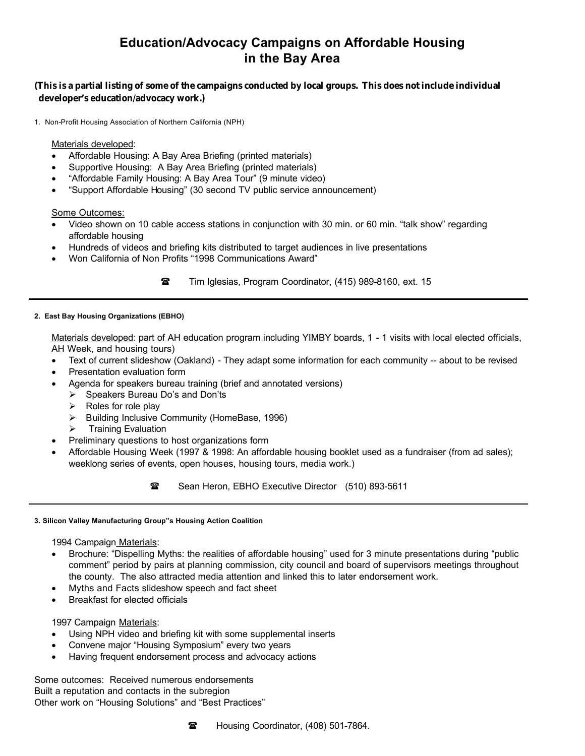# **Education/Advocacy Campaigns on Affordable Housing in the Bay Area**

# **(This is a partial listing of some of the campaigns conducted by local groups. This does not include individual developer's education/advocacy work.)**

1. Non-Profit Housing Association of Northern California (NPH)

Materials developed:

- Affordable Housing: A Bay Area Briefing (printed materials)
- Supportive Housing: A Bay Area Briefing (printed materials)
- "Affordable Family Housing: A Bay Area Tour" (9 minute video)
- "Support Affordable Housing" (30 second TV public service announcement)

Some Outcomes:

- Video shown on 10 cable access stations in conjunction with 30 min. or 60 min. "talk show" regarding affordable housing
- Hundreds of videos and briefing kits distributed to target audiences in live presentations
- Won California of Non Profits "1998 Communications Award"

**••••** Tim Iglesias, Program Coordinator, (415) 989-8160, ext. 15

### **2. East Bay Housing Organizations (EBHO)**

Materials developed: part of AH education program including YIMBY boards, 1 - 1 visits with local elected officials, AH Week, and housing tours)

- Text of current slideshow (Oakland) They adapt some information for each community -- about to be revised
- Presentation evaluation form
- Agenda for speakers bureau training (brief and annotated versions)
	- $\triangleright$  Speakers Bureau Do's and Don'ts
	- $\triangleright$  Roles for role play
	- Building Inclusive Community (HomeBase, 1996)
	- $\triangleright$  Training Evaluation
- Preliminary questions to host organizations form
- Affordable Housing Week (1997 & 1998: An affordable housing booklet used as a fundraiser (from ad sales); weeklong series of events, open houses, housing tours, media work.)

•••Sean Heron, EBHO Executive Director (510) 893-5611

#### **3. Silicon Valley Manufacturing Group"s Housing Action Coalition**

1994 Campaign Materials:

- Brochure: "Dispelling Myths: the realities of affordable housing" used for 3 minute presentations during "public comment" period by pairs at planning commission, city council and board of supervisors meetings throughout the county. The also attracted media attention and linked this to later endorsement work.
- Myths and Facts slideshow speech and fact sheet
- Breakfast for elected officials

## 1997 Campaign Materials:

- Using NPH video and briefing kit with some supplemental inserts
- Convene major "Housing Symposium" every two years
- Having frequent endorsement process and advocacy actions

Some outcomes: Received numerous endorsements Built a reputation and contacts in the subregion Other work on "Housing Solutions" and "Best Practices"



•••Housing Coordinator, (408) 501-7864.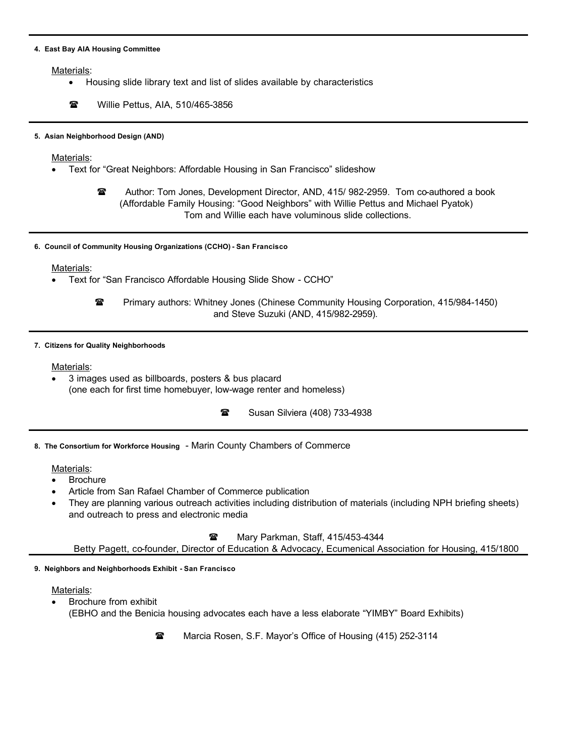#### **4. East Bay AIA Housing Committee**

Materials:

- Housing slide library text and list of slides available by characteristics
- **••** Willie Pettus, AIA, 510/465-3856

### **5. Asian Neighborhood Design (AND)**

Materials:

- Text for "Great Neighbors: Affordable Housing in San Francisco" slideshow
	- •••Author: Tom Jones, Development Director, AND, 415/ 982-2959. Tom co-authored a book (Affordable Family Housing: "Good Neighbors" with Willie Pettus and Michael Pyatok) Tom and Willie each have voluminous slide collections.
- **6. Council of Community Housing Organizations (CCHO) - San Francisco**

Materials:

• Text for "San Francisco Affordable Housing Slide Show - CCHO"

**••• Primary authors: Whitney Jones (Chinese Community Housing Corporation, 415/984-1450)** and Steve Suzuki (AND, 415/982-2959).

#### **7. Citizens for Quality Neighborhoods**

## Materials:

- 3 images used as billboards, posters & bus placard (one each for first time homebuyer, low-wage renter and homeless)
	- •••Susan Silviera (408) 733-4938

**8. The Consortium for Workforce Housing** - Marin County Chambers of Commerce

# Materials:

- **Brochure**
- Article from San Rafael Chamber of Commerce publication
- They are planning various outreach activities including distribution of materials (including NPH briefing sheets) and outreach to press and electronic media

**•• Mary Parkman, Staff, 415/453-4344** 

Betty Pagett, co-founder, Director of Education & Advocacy, Ecumenical Association for Housing, 415/1800

# **9. Neighbors and Neighborhoods Exhibit - San Francisco**

# Materials:

• Brochure from exhibit (EBHO and the Benicia housing advocates each have a less elaborate "YIMBY" Board Exhibits)

**•• Marcia Rosen, S.F. Mayor's Office of Housing (415) 252-3114**